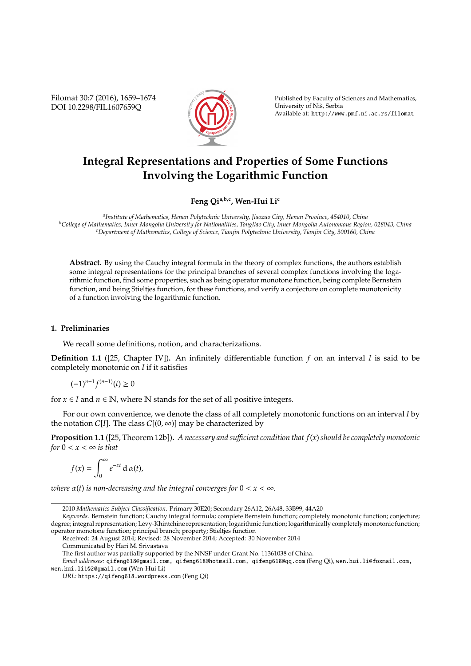Filomat 30:7 (2016), 1659–1674 DOI 10.2298/FIL1607659Q



Published by Faculty of Sciences and Mathematics, University of Niš, Serbia Available at: http://www.pmf.ni.ac.rs/filomat

# **Integral Representations and Properties of Some Functions Involving the Logarithmic Function**

**Feng Qia,b,c, Wen-Hui Li<sup>c</sup>**

*a Institute of Mathematics, Henan Polytechnic University, Jiaozuo City, Henan Province, 454010, China <sup>b</sup>College of Mathematics, Inner Mongolia University for Nationalities, Tongliao City, Inner Mongolia Autonomous Region, 028043, China <sup>c</sup>Department of Mathematics, College of Science, Tianjin Polytechnic University, Tianjin City, 300160, China*

**Abstract.** By using the Cauchy integral formula in the theory of complex functions, the authors establish some integral representations for the principal branches of several complex functions involving the logarithmic function, find some properties, such as being operator monotone function, being complete Bernstein function, and being Stieltjes function, for these functions, and verify a conjecture on complete monotonicity of a function involving the logarithmic function.

### **1. Preliminaries**

We recall some definitions, notion, and characterizations.

**Definition 1.1** ([25, Chapter IV])**.** An infinitely differentiable function *f* on an interval *I* is said to be completely monotonic on *I* if it satisfies

$$
(-1)^{n-1}f^{(n-1)}(t)\geq 0
$$

for  $x \in I$  and  $n \in \mathbb{N}$ , where  $\mathbb N$  stands for the set of all positive integers.

For our own convenience, we denote the class of all completely monotonic functions on an interval *I* by the notation C[*I*]. The class  $C[(0, \infty)]$  may be characterized by

**Proposition 1.1** ([25, Theorem 12b])**.** *A necessary and su*ffi*cient condition that f*(*x*)*should be completely monotonic for*  $0 < x < \infty$  *is that* 

$$
f(x) = \int_0^\infty e^{-xt} \, \mathrm{d} \, \alpha(t),
$$

*where*  $\alpha(t)$  *is non-decreasing and the integral converges for*  $0 < x < \infty$ *.* 

Received: 24 August 2014; Revised: 28 November 2014; Accepted: 30 November 2014

Communicated by Hari M. Srivastava

<sup>2010</sup> *Mathematics Subject Classification*. Primary 30E20; Secondary 26A12, 26A48, 33B99, 44A20

*Keywords*. Bernstein function; Cauchy integral formula; complete Bernstein function; completely monotonic function; conjecture; degree; integral representation; Lévy-Khintchine representation; logarithmic function; logarithmically completely monotonic function; operator monotone function; principal branch; property; Stieltjes function

The first author was partially supported by the NNSF under Grant No. 11361038 of China.

*Email addresses:* qifeng618@gmail.com, qifeng618@hotmail.com, qifeng618@qq.com (Feng Qi), wen.hui.li@foxmail.com, wen.hui.li102@gmail.com (Wen-Hui Li)

*URL:* https://qifeng618.wordpress.com (Feng Qi)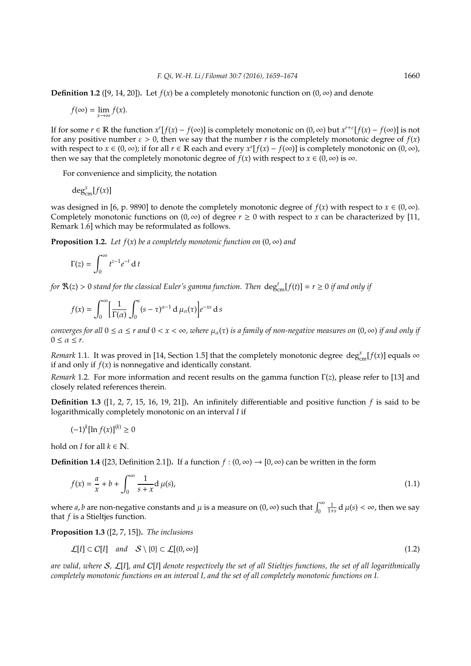**Definition 1.2** ([9, 14, 20]). Let  $f(x)$  be a completely monotonic function on  $(0, \infty)$  and denote

$$
f(\infty) = \lim_{x \to \infty} f(x).
$$

If for some  $r \in \mathbb{R}$  the function  $x^r[f(x) - f(\infty)]$  is completely monotonic on  $(0, \infty)$  but  $x^{r+\varepsilon}[f(x) - f(\infty)]$  is not for any positive number  $\varepsilon > 0$ , then we say that the number r is the completely monotonic degree of  $f(x)$ with respect to  $x \in (0, \infty)$ ; if for all  $r \in \mathbb{R}$  each and every  $x^r[f(x) - f(\infty)]$  is completely monotonic on  $(0, \infty)$ , then we say that the completely monotonic degree of  $f(x)$  with respect to  $x \in (0, \infty)$  is  $\infty$ .

For convenience and simplicity, the notation

$$
\deg_{\text{cm}}^x[f(x)]
$$

was designed in [6, p. 9890] to denote the completely monotonic degree of  $f(x)$  with respect to  $x \in (0, \infty)$ . Completely monotonic functions on  $(0, \infty)$  of degree  $r \ge 0$  with respect to x can be characterized by [11, Remark 1.6] which may be reformulated as follows.

**Proposition 1.2.** *Let*  $f(x)$  *be a completely monotonic function on*  $(0, \infty)$  *and* 

$$
\Gamma(z) = \int_0^\infty t^{z-1} e^{-t} \, \mathrm{d} \, t
$$

*for*  $\Re(z) > 0$  *stand for the classical Euler's gamma function. Then*  $\deg_{cm}^t[f(t)] = r \ge 0$  *if and only if* 

$$
f(x) = \int_0^{\infty} \left[ \frac{1}{\Gamma(\alpha)} \int_0^s (s - \tau)^{\alpha - 1} d\mu_{\alpha}(\tau) \right] e^{-xs} ds
$$

*converges for all*  $0 \le \alpha \le r$  *and*  $0 < x < \infty$ *, where*  $\mu_\alpha(\tau)$  *is a family of non-negative measures on*  $(0, \infty)$  *if and only if*  $0 \leq \alpha \leq r$ .

*Remark* 1.1. It was proved in [14, Section 1.5] that the completely monotonic degree  $\deg_{\text{cm}}^x[f(x)]$  equals  $\infty$ if and only if  $f(x)$  is nonnegative and identically constant.

*Remark* 1.2*.* For more information and recent results on the gamma function Γ(*z*), please refer to [13] and closely related references therein.

**Definition 1.3** ([1, 2, 7, 15, 16, 19, 21])**.** An infinitely differentiable and positive function *f* is said to be logarithmically completely monotonic on an interval *I* if

$$
(-1)^k[\ln f(x)]^{(k)} \ge 0
$$

hold on *I* for all  $k \in \mathbb{N}$ .

**Definition 1.4** ([23, Definition 2.1]). If a function  $f : (0, \infty) \to [0, \infty)$  can be written in the form

$$
f(x) = \frac{a}{x} + b + \int_0^{\infty} \frac{1}{s + x} d\mu(s),
$$
 (1.1)

where *a*, *b* are non-negative constants and  $\mu$  is a measure on  $(0, \infty)$  such that  $\int_0^\infty$  $\frac{1}{1+s}$  d  $\mu(s) < \infty$ , then we say that *f* is a Stieltjes function.

**Proposition 1.3** ([2, 7, 15])**.** *The inclusions*

$$
\mathcal{L}[I] \subset C[I] \quad and \quad S \setminus \{0\} \subset \mathcal{L}[(0,\infty)] \tag{1.2}
$$

*are valid, where* S*,* L[*I*]*, and* C[*I*] *denote respectively the set of all Stieltjes functions, the set of all logarithmically completely monotonic functions on an interval I, and the set of all completely monotonic functions on I.*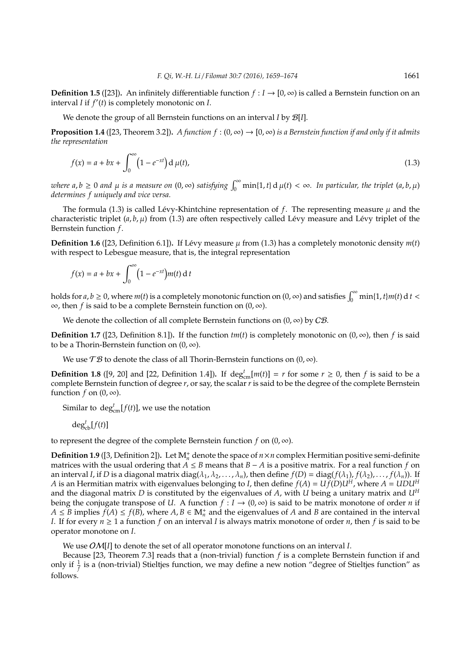**Definition 1.5** ([23]). An infinitely differentiable function  $f: I \rightarrow [0, \infty)$  is called a Bernstein function on an interval *I* if  $f'(t)$  is completely monotonic on *I*.

We denote the group of all Bernstein functions on an interval *I* by B[*I*].

**Proposition 1.4** ([23, Theorem 3.2]). *A function*  $f : (0, \infty) \to [0, \infty)$  *is a Bernstein function if and only if it admits the representation*

$$
f(x) = a + bx + \int_0^{\infty} \left(1 - e^{-xt}\right) \mathrm{d} \,\mu(t),\tag{1.3}
$$

 $\omega$  *where*  $a, b \ge 0$  and  $\mu$  *is a measure on*  $(0, \infty)$  *satisfying*  $\int_0^\infty \min\{1, t\} d\mu(t) < \infty$ *. In particular, the triplet*  $(a, b, \mu)$ *determines f uniquely and vice versa.*

The formula (1.3) is called Lévy-Khintchine representation of  $f$ . The representing measure  $\mu$  and the characteristic triplet  $(a, b, \mu)$  from (1.3) are often respectively called Lévy measure and Lévy triplet of the Bernstein function *f*.

**Definition 1.6** ([23, Definition 6.1]). If Lévy measure  $\mu$  from (1.3) has a completely monotonic density  $m(t)$ with respect to Lebesgue measure, that is, the integral representation

$$
f(x) = a + bx + \int_0^\infty \left(1 - e^{-xt}\right) m(t) dt
$$

holds for  $a, b \ge 0$ , where  $m(t)$  is a completely monotonic function on  $(0, \infty)$  and satisfies  $\int_0^\infty \min\{1, t\} m(t) dt <$ ∞, then *f* is said to be a complete Bernstein function on (0, ∞).

We denote the collection of all complete Bernstein functions on  $(0, \infty)$  by  $C\mathcal{B}$ .

**Definition 1.7** ([23, Definition 8.1]). If the function  $tm(t)$  is completely monotonic on  $(0, \infty)$ , then *f* is said to be a Thorin-Bernstein function on  $(0, \infty)$ .

We use  $\mathcal{T}\mathcal{B}$  to denote the class of all Thorin-Bernstein functions on  $(0, \infty)$ .

**Definition 1.8** ([9, 20] and [22, Definition 1.4]). If  $\deg_{cm}^t[m(t)] = r$  for some  $r \ge 0$ , then *f* is said to be a complete Bernstein function of degree *r*, or say, the scalar *r* is said to be the degree of the complete Bernstein function  $f$  on  $(0, \infty)$ .

Similar to  $\deg_{\text{cm}}^t[f(t)]$ , we use the notation

$$
\deg^t_{\text{cb}}[f(t)]
$$

to represent the degree of the complete Bernstein function  $f$  on  $(0, \infty)$ .

**Definition 1.9** ([3, Definition 2]). Let  $\mathbb{M}_n^+$  denote the space of  $n \times n$  complex Hermitian positive semi-definite matrices with the usual ordering that *A* ≤ *B* means that *B* − *A* is a positive matrix. For a real function *f* on an interval *I*, if *D* is a diagonal matrix diag( $\lambda_1, \lambda_2, ..., \lambda_n$ ), then define  $f(D) = diag(f(\lambda_1), f(\lambda_2), ..., f(\lambda_n))$ . If *A* is an Hermitian matrix with eigenvalues belonging to *I*, then define  $f(A) = U f(D)U^H$ , where  $A = U D U^H$ and the diagonal matrix *D* is constituted by the eigenvalues of *A*, with *U* being a unitary matrix and *U<sup>H</sup>* being the conjugate transpose of *U*. A function  $f: I \to (0, \infty)$  is said to be matrix monotone of order *n* if *A* ≤ *B* implies  $f(A)$  ≤  $f(B)$ , where  $A, B \in \mathbb{M}_n^+$  and the eigenvalues of *A* and *B* are contained in the interval *I*. If for every  $n \geq 1$  a function *f* on an interval *I* is always matrix monotone of order *n*, then *f* is said to be operator monotone on *I*.

We use OM[*I*] to denote the set of all operator monotone functions on an interval *I*.

Because [23, Theorem 7.3] reads that a (non-trivial) function *f* is a complete Bernstein function if and only if  $\frac{1}{f}$  is a (non-trivial) Stieltjes function, we may define a new notion "degree of Stieltjes function" as follows.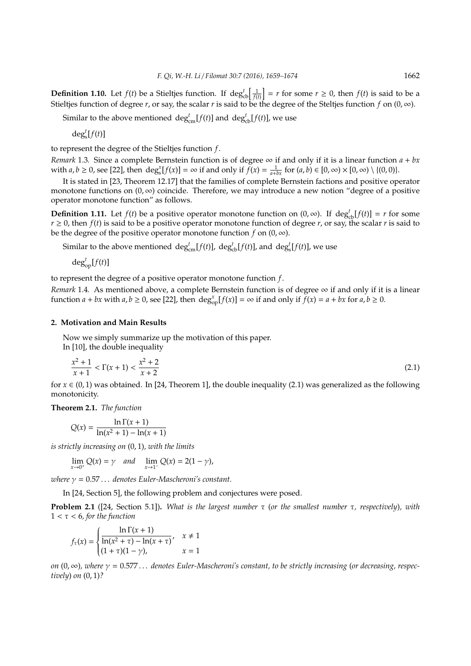**Definition 1.10.** Let  $f(t)$  be a Stieltjes function. If  $\deg_{cb}^t\left[\frac{1}{f(t)}\right] = r$  for some  $r \ge 0$ , then  $f(t)$  is said to be a Stieltjes function of degree *r*, or say, the scalar *r* is said to be the degree of the Steltjes function *f* on  $(0, \infty)$ .

Similar to the above mentioned  $\deg_{cm}^t[f(t)]$  and  $\deg_{cb}^t[f(t)]$ , we use

 $\deg_s^t[f(t)]$ 

to represent the degree of the Stieltjes function *f*.

*Remark* 1.3*.* Since a complete Bernstein function is of degree ∞ if and only if it is a linear function *a* + *bx* with  $a, b \ge 0$ , see [22], then  $\deg_s^x[f(x)] = \infty$  if and only if  $\tilde{f}(x) = \frac{1}{a + bx}$  for  $(a, b) \in [0, \infty) \times [0, \infty) \setminus \{(0, 0)\}.$ 

It is stated in [23, Theorem 12.17] that the families of complete Bernstein factions and positive operator monotone functions on  $(0, \infty)$  coincide. Therefore, we may introduce a new notion "degree of a positive" operator monotone function" as follows.

**Definition 1.11.** Let  $f(t)$  be a positive operator monotone function on  $(0, \infty)$ . If  $\deg_{cb}^t[f(t)] = r$  for some  $r \geq 0$ , then  $f(t)$  is said to be a positive operator monotone function of degree *r*, or say, the scalar *r* is said to be the degree of the positive operator monotone function  $f$  on  $(0, \infty)$ .

Similar to the above mentioned  $\deg_{\text{cm}}^t[f(t)]$ ,  $\deg_{\text{cb}}^t[f(t)]$ , and  $\deg_s^t[f(t)]$ , we use

 $\deg_{\text{op}}^t[f(t)]$ 

to represent the degree of a positive operator monotone function *f*.

*Remark* 1.4. As mentioned above, a complete Bernstein function is of degree  $\infty$  if and only if it is a linear function  $a + bx$  with  $a, b \ge 0$ , see [22], then  $\deg_{\text{op}}^x[f(x)] = \infty$  if and only if  $\tilde{f}(x) = a + bx$  for  $a, b \ge 0$ .

# **2. Motivation and Main Results**

Now we simply summarize up the motivation of this paper. In [10], the double inequality

$$
\frac{x^2+1}{x+1} < \Gamma(x+1) < \frac{x^2+2}{x+2} \tag{2.1}
$$

for  $x \in (0, 1)$  was obtained. In [24, Theorem 1], the double inequality (2.1) was generalized as the following monotonicity.

**Theorem 2.1.** *The function*

$$
Q(x) = \frac{\ln \Gamma(x+1)}{\ln(x^2+1) - \ln(x+1)}
$$

*is strictly increasing on* (0, 1)*, with the limits*

$$
\lim_{x \to 0^+} Q(x) = \gamma \quad and \quad \lim_{x \to 1^-} Q(x) = 2(1 - \gamma),
$$

*where*  $\gamma = 0.57...$  *denotes Euler-Mascheroni's constant.* 

In [24, Section 5], the following problem and conjectures were posed.

**Problem 2.1** ([24, Section 5.1])**.** *What is the largest number* τ (*or the smallest number* τ*, respectively*)*, with* 1 < τ < 6*, for the function*

$$
f_{\tau}(x) = \begin{cases} \frac{\ln \Gamma(x+1)}{\ln(x^2 + \tau) - \ln(x+\tau)}, & x \neq 1\\ (1+\tau)(1-\gamma), & x = 1 \end{cases}
$$

*on* (0, ∞)*, where* γ = 0.577 . . . *denotes Euler-Mascheroni's constant, to be strictly increasing* (*or decreasing, respectively*) *on* (0, 1)*?*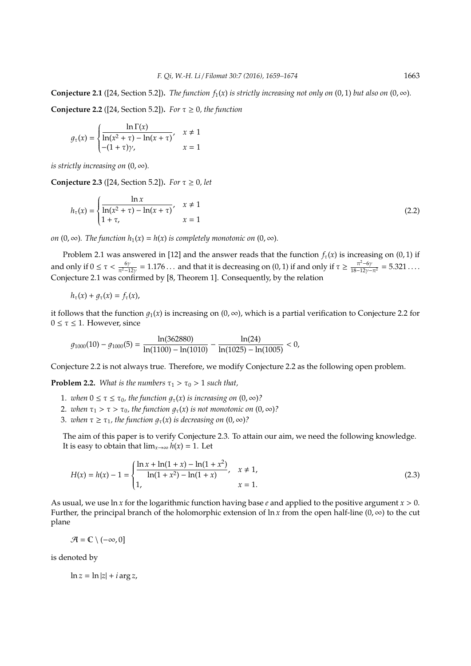**Conjecture 2.1** ([24, Section 5.2]). *The function*  $f_1(x)$  *is strictly increasing not only on* (0, 1) *but also on* (0,  $\infty$ ).

**Conjecture 2.2** ([24, Section 5.2]). *For*  $\tau \geq 0$ *, the function* 

$$
g_{\tau}(x) = \begin{cases} \frac{\ln \Gamma(x)}{\ln(x^2 + \tau) - \ln(x + \tau)}, & x \neq 1\\ -(1 + \tau)\gamma, & x = 1 \end{cases}
$$

*is strictly increasing on*  $(0, \infty)$ *.* 

**Conjecture 2.3** ([24, Section 5.2]). *For*  $\tau \ge 0$ , *let* 

$$
h_{\tau}(x) = \begin{cases} \frac{\ln x}{\ln(x^2 + \tau) - \ln(x + \tau)}, & x \neq 1\\ 1 + \tau, & x = 1 \end{cases}
$$
 (2.2)

*on*  $(0, \infty)$ *. The function*  $h_1(x) = h(x)$  *is completely monotonic on*  $(0, \infty)$ *.* 

Problem 2.1 was answered in [12] and the answer reads that the function  $f_{\tau}(x)$  is increasing on (0, 1) if and only if  $0 \le \tau < \frac{6\gamma}{\pi^2-12\gamma} = 1.176...$  and that it is decreasing on  $(0,1)$  if and only if  $\tau \ge \frac{\pi^2-6\gamma}{18-12\gamma-\pi^2} = 5.321...$ Conjecture 2.1 was confirmed by [8, Theorem 1]. Consequently, by the relation

$$
h_{\tau}(x)+g_{\tau}(x)=f_{\tau}(x),
$$

it follows that the function  $q_1(x)$  is increasing on  $(0, \infty)$ , which is a partial verification to Conjecture 2.2 for  $0 \leq \tau \leq 1$ . However, since

 $g_{1000}(10) - g_{1000}(5) = \frac{\ln(362880)}{\ln(1100) - \ln(1010)} - \frac{\ln(24)}{\ln(1025) - \ln(1005)} < 0,$ 

Conjecture 2.2 is not always true. Therefore, we modify Conjecture 2.2 as the following open problem.

**Problem 2.2.** *What is the numbers*  $\tau_1 > \tau_0 > 1$  *such that,* 

- 1. *when*  $0 \le \tau \le \tau_0$ , the function  $g_\tau(x)$  is increasing on  $(0, \infty)$ ?
- 2. *when*  $\tau_1 > \tau > \tau_0$ , the function  $g_\tau(x)$  is not monotonic on  $(0, \infty)$ ?
- 3. *when*  $\tau \geq \tau_1$ , the function  $q_{\tau}(x)$  is decreasing on  $(0, \infty)$ ?

The aim of this paper is to verify Conjecture 2.3. To attain our aim, we need the following knowledge. It is easy to obtain that  $\lim_{x\to\infty} h(x) = 1$ . Let

$$
H(x) = h(x) - 1 = \begin{cases} \frac{\ln x + \ln(1 + x) - \ln(1 + x^2)}{\ln(1 + x^2) - \ln(1 + x)}, & x \neq 1, \\ 1, & x = 1. \end{cases}
$$
(2.3)

As usual, we use ln *x* for the logarithmic function having base *e* and applied to the positive argument *x* > 0. Further, the principal branch of the holomorphic extension of  $\ln x$  from the open half-line (0,  $\infty$ ) to the cut plane

 $\mathcal{A} = \mathbb{C} \setminus (-\infty, 0]$ 

is denoted by

 $\ln z = \ln |z| + i \arg z$ ,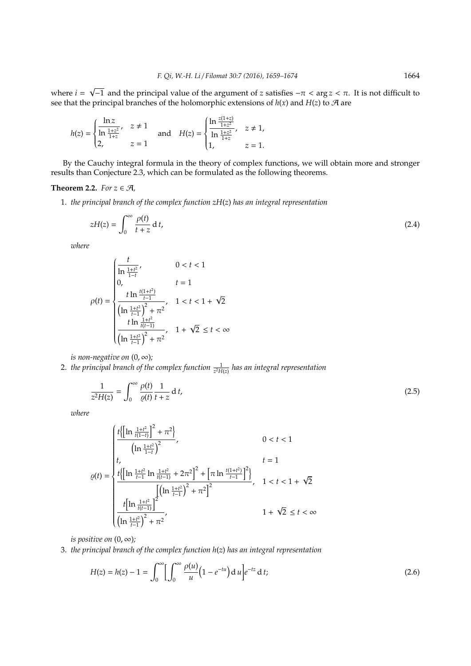where  $i = \sqrt{-1}$  and the principal value of the argument of *z* satisfies  $-π < arg z < π$ . It is not difficult to see that the principal branches of the holomorphic extensions of  $h(x)$  and  $H(z)$  to  $\mathcal A$  are

$$
h(z) = \begin{cases} \frac{\ln z}{\ln \frac{1+z^2}{1+z}}, & z \neq 1 \\ 2, & z = 1 \end{cases} \text{ and } H(z) = \begin{cases} \frac{\ln \frac{z(1+z)}{1+z^2}}{\ln \frac{1+z^2}{1+z}}, & z \neq 1, \\ 1, & z = 1. \end{cases}
$$

By the Cauchy integral formula in the theory of complex functions, we will obtain more and stronger results than Conjecture 2.3, which can be formulated as the following theorems.

# **Theorem 2.2.** *For*  $z \in \mathcal{A}$ *,*

√

1. *the principal branch of the complex function zH*(*z*) *has an integral representation*

$$
zH(z) = \int_0^\infty \frac{\rho(t)}{t+z} \, \mathrm{d}\, t,\tag{2.4}
$$

*where*

$$
\rho(t) = \begin{cases}\n\frac{t}{\ln \frac{1+t^2}{1-t}}, & 0 < t < 1 \\
0, & t = 1 \\
\frac{t \ln \frac{t(1+t^2)}{t-1}}{\left(\ln \frac{1+t^2}{t-1}\right)^2 + \pi^2}, & 1 < t < 1 + \sqrt{2} \\
\frac{t \ln \frac{1+t^2}{t(t-1)}}{\left(\ln \frac{1+t^2}{t-1}\right)^2 + \pi^2}, & 1 + \sqrt{2} \le t < \infty\n\end{cases}
$$

*is non-negative on*  $(0, \infty)$ *;* 

2. *the principal branch of the complex function*  $\frac{1}{z^2H(z)}$  *has an integral representation* 

$$
\frac{1}{z^2H(z)} = \int_0^\infty \frac{\rho(t)}{\varrho(t)} \frac{1}{t+z} \, \mathrm{d}t,\tag{2.5}
$$

*where*

$$
\varrho(t) = \begin{cases} \frac{t\left\{\left[\ln\frac{1+t^2}{t(1-t)}\right]^2 + \pi^2\right\}}{\left(\ln\frac{1+t^2}{1-t}\right)^2}, & 0 < t < 1\\ t, & t = 1\\ \frac{t\left\{\left[\ln\frac{1+t^2}{t-1}\ln\frac{1+t^2}{t(t-1)} + 2\pi^2\right]^2 + \left[\pi\ln\frac{t(1+t^2)}{t-1}\right]^2\right\}}{\left[\left(\ln\frac{1+t^2}{t-1}\right)^2 + \pi^2\right]^2}, & 1 < t < 1 + \sqrt{2}\\ \frac{t\left[\ln\frac{1+t^2}{t(t-1)}\right]^2}{\left(\ln\frac{1+t^2}{t-1}\right)^2 + \pi^2}, & 1 + \sqrt{2} \le t < \infty \end{cases}
$$

*is positive on*  $(0, \infty)$ *;* 

3. *the principal branch of the complex function h*(*z*) *has an integral representation*

$$
H(z) = h(z) - 1 = \int_0^\infty \left[ \int_0^\infty \frac{\rho(u)}{u} \left( 1 - e^{-tu} \right) du \right] e^{-tz} dt; \tag{2.6}
$$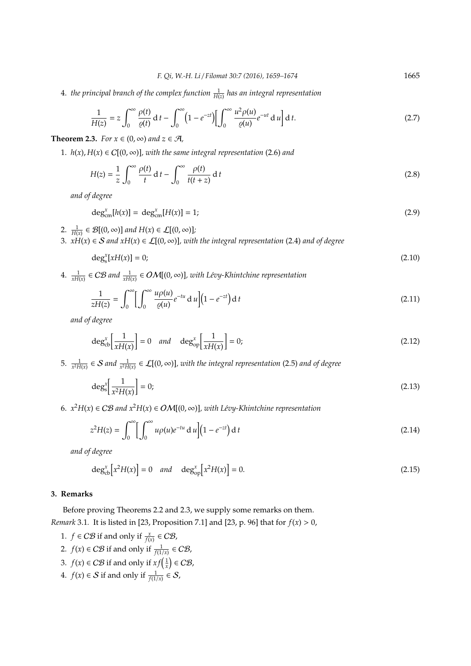4. *the principal branch of the complex function* <sup>1</sup> *H*(*z*) *has an integral representation*

$$
\frac{1}{H(z)} = z \int_0^\infty \frac{\rho(t)}{\varrho(t)} dt - \int_0^\infty \left(1 - e^{-zt}\right) \left[\int_0^\infty \frac{u^2 \rho(u)}{\varrho(u)} e^{-ut} du\right] dt.
$$
\n(2.7)

**Theorem 2.3.** *For*  $x \in (0, \infty)$  *and*  $z \in \mathcal{A}$ *,* 

1.  $h(x)$ ,  $H(x) \in C[(0, \infty)]$ , with the same integral representation (2.6) and

$$
H(z) = \frac{1}{z} \int_0^\infty \frac{\rho(t)}{t} dt - \int_0^\infty \frac{\rho(t)}{t(t+z)} dt
$$
\n(2.8)

*and of degree*

$$
\deg_{\text{cm}}^x[h(x)] = \deg_{\text{cm}}^x[H(x)] = 1;
$$
\n(2.9)

- 2.  $\frac{1}{H(x)} \in \mathcal{B}[(0,\infty)]$  and  $H(x) \in \mathcal{L}[(0,\infty)]$ ;
- 3. *xH*(*x*) ∈ S *and xH*(*x*) ∈ L[(0, ∞)]*, with the integral representation* (2.4) *and of degree*

$$
\deg_s^x[xH(x)] = 0;\t\t(2.10)
$$

 $4.$   $\frac{1}{xH(x)}$  ∈ CB and  $\frac{1}{xH(x)}$  ∈ OM[(0, ∞)], with Lévy-Khintchine representation

$$
\frac{1}{zH(z)} = \int_0^\infty \left[ \int_0^\infty \frac{u\rho(u)}{\varrho(u)} e^{-tu} du \right] \left( 1 - e^{-zt} \right) dt \tag{2.11}
$$

*and of degree*

$$
\deg_{cb}^{x} \left[ \frac{1}{xH(x)} \right] = 0 \quad and \quad \deg_{cp}^{x} \left[ \frac{1}{xH(x)} \right] = 0; \tag{2.12}
$$

5.  $\frac{1}{x^2H(x)} \in S$  and  $\frac{1}{x^2H(x)} \in \mathcal{L}[(0,\infty)]$ , with the integral representation (2.5) and of degree

$$
\deg_s^x \left[ \frac{1}{x^2 H(x)} \right] = 0; \tag{2.13}
$$

6.  $x^2H(x)$  ∈ CB and  $x^2H(x)$  ∈ OM[(0, ∞)], with Lévy-Khintchine representation

$$
z^{2}H(z) = \int_{0}^{\infty} \left[ \int_{0}^{\infty} u\rho(u)e^{-tu} du \right] (1 - e^{-zt}) dt
$$
 (2.14)

*and of degree*

$$
\deg_{cb}^{x}[x^2H(x)] = 0 \quad and \quad \deg_{op}^{x}[x^2H(x)] = 0. \tag{2.15}
$$

# **3. Remarks**

Before proving Theorems 2.2 and 2.3, we supply some remarks on them. *Remark* 3.1*.* It is listed in [23, Proposition 7.1] and [23, p. 96] that for  $f(x) > 0$ ,

- 1. *f* ∈ *CB* if and only if  $\frac{x}{f(x)}$  ∈ *CB*,
- 2.  $f(x) \in \mathcal{CB}$  if and only if  $\frac{1}{f(1/x)} \in \mathcal{CB}$ ,
- 3.  $f(x) \in \mathcal{CB}$  if and only if  $xf\left(\frac{1}{x}\right) \in \mathcal{CB}$ ,
- 4.  $f(x) \in S$  if and only if  $\frac{1}{f(1/x)} \in S$ ,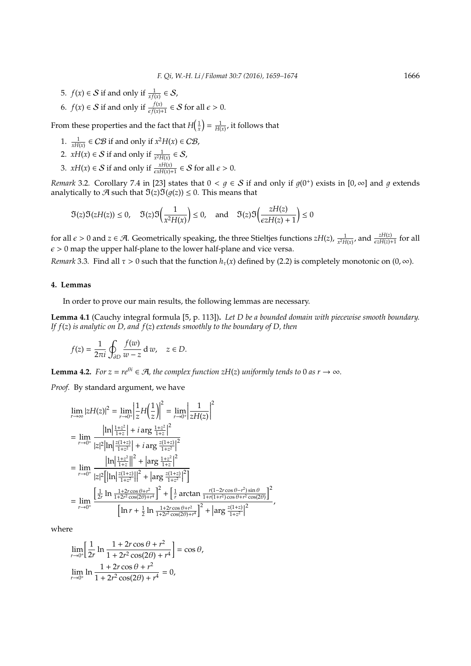- 5.  $f(x) \in S$  if and only if  $\frac{1}{xf(x)} \in S$ ,
- 6.  $f(x) \in S$  if and only if  $\frac{f(x)}{\epsilon f(x)+1} \in S$  for all  $\epsilon > 0$ .

From these properties and the fact that  $H\left(\frac{1}{x}\right) = \frac{1}{H(x)}$ , it follows that

- 1.  $\frac{1}{xH(x)} \in C\mathcal{B}$  if and only if  $x^2H(x) \in C\mathcal{B}$ ,
- 2.  $xH(x) \in S$  if and only if  $\frac{1}{x^2H(x)} \in S$ ,
- 3. *xH(x)*  $\in$  *S* if and only if  $\frac{xH(x)}{\epsilon xH(x)+1} \in$  *S* for all  $\epsilon$  > 0.

*Remark* 3.2. Corollary 7.4 in [23] states that  $0 < g \in S$  if and only if  $g(0^+)$  exists in  $[0, \infty]$  and  $g$  extends analytically to  $\mathcal A$  such that  $\mathfrak I(z)\mathfrak I(q(z)) \leq 0$ . This means that

$$
\mathfrak{I}(z)\mathfrak{I}(zH(z)) \le 0, \quad \mathfrak{I}(z)\mathfrak{I}\left(\frac{1}{x^2H(x)}\right) \le 0, \quad \text{and} \quad \mathfrak{I}(z)\mathfrak{I}\left(\frac{zH(z)}{\epsilon zH(z)+1}\right) \le 0
$$

for all  $\epsilon > 0$  and  $z \in \mathcal{A}$ . Geometrically speaking, the three Stieltjes functions  $zH(z)$ ,  $\frac{1}{x^2H(x)}$ , and  $\frac{zH(z)}{\epsilon zH(z)+1}$  for all  $\epsilon > 0$  map the upper half-plane to the lower half-plane and vice versa.

*Remark* 3.3. Find all  $\tau > 0$  such that the function  $h_{\tau}(x)$  defined by (2.2) is completely monotonic on  $(0, \infty)$ .

# **4. Lemmas**

In order to prove our main results, the following lemmas are necessary.

**Lemma 4.1** (Cauchy integral formula [5, p. 113])**.** *Let D be a bounded domain with piecewise smooth boundary. If f*(*z*) *is analytic on D, and f*(*z*) *extends smoothly to the boundary of D, then*

,

$$
f(z) = \frac{1}{2\pi i} \oint_{\partial D} \frac{f(w)}{w - z} \, \mathrm{d} \, w, \quad z \in D.
$$

**Lemma 4.2.** *For z* =  $re^{\theta i} \in \mathcal{A}$ *, the complex function zH(z) uniformly tends to* 0 *as r* → ∞*.* 

*Proof.* By standard argument, we have

$$
\lim_{r \to \infty} |zH(z)|^2 = \lim_{r \to 0^+} \left| \frac{1}{z} H\left(\frac{1}{z}\right) \right|^2 = \lim_{r \to 0^+} \left| \frac{1}{zH(z)} \right|^2
$$
\n
$$
= \lim_{r \to 0^+} \frac{\left| \ln \left| \frac{1+z^2}{1+z} \right| + i \arg \frac{1+z^2}{1+z} \right|^2}{\left| z \right|^2 \left| \ln \left| \frac{z(1+z)}{1+z^2} \right| + i \arg \frac{z(1+z)}{1+z^2} \right|^2}
$$
\n
$$
= \lim_{r \to 0^+} \frac{\left| \ln \left| \frac{1+z^2}{1+z} \right| \right|^2 + \left| \arg \frac{1+z^2}{1+z} \right|^2}{\left| z \right|^2 \left[ \left| \ln \left| \frac{z(1+z)}{1+z^2} \right| \right|^2 + \left| \arg \frac{z(1+z)}{1+z^2} \right|^2 \right]}
$$
\n
$$
= \lim_{r \to 0^+} \frac{\left[ \frac{1}{2r} \ln \frac{1+2r \cos \theta + r^2}{1+2r^2 \cos(2\theta) + r^4} \right]^2 + \left[ \frac{1}{r} \arctan \frac{r(1-2r \cos \theta - r^2) \sin \theta}{1+r(1+r^2) \cos \theta + r^2 \cos(2\theta)} \right]^2}{\left[ \ln r + \frac{1}{2} \ln \frac{1+2r \cos \theta + r^2}{1+2r^2 \cos(2\theta) + r^4} \right]^2 + \left| \arg \frac{z(1+z)}{1+z^2} \right|^2}
$$

where

$$
\lim_{r \to 0^+} \left[ \frac{1}{2r} \ln \frac{1 + 2r \cos \theta + r^2}{1 + 2r^2 \cos(2\theta) + r^4} \right] = \cos \theta,
$$
  

$$
\lim_{r \to 0^+} \ln \frac{1 + 2r \cos \theta + r^2}{1 + 2r^2 \cos(2\theta) + r^4} = 0,
$$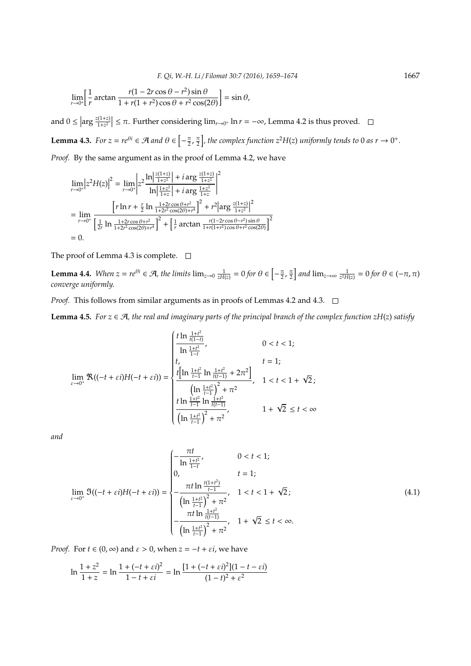$$
\lim_{r \to 0^+} \left[ \frac{1}{r} \arctan \frac{r(1 - 2r\cos\theta - r^2)\sin\theta}{1 + r(1 + r^2)\cos\theta + r^2\cos(2\theta)} \right] = \sin\theta,
$$

and  $0 \leq \left| \arg \frac{z(1+z)}{1+z^2} \right|$  $\left|\frac{\ln(1+z)}{1+z^2}\right|$  ≤ π. Further considering lim<sub>*r*→0</sub>+ ln *r* = −∞, Lemma 4.2 is thus proved.

**Lemma 4.3.** For  $z = re^{\theta i} \in \mathcal{A}$  and  $\theta \in \left[-\frac{\pi}{2}, \frac{\pi}{2}\right]$ , the complex function  $z^2H(z)$  uniformly tends to 0 as  $r \to 0^+$ . *Proof.* By the same argument as in the proof of Lemma 4.2, we have

$$
\lim_{r \to 0^{+}} \left| z^{2} H(z) \right|^{2} = \lim_{r \to 0^{+}} \left| z^{2} \frac{\ln \left| \frac{z(1+z)}{1+z^{2}} \right| + i \arg \frac{z(1+z)}{1+z^{2}}}{\ln \left| \frac{1+z^{2}}{1+z} \right| + i \arg \frac{1+z^{2}}{1+z}} \right|^{2}
$$
\n
$$
= \lim_{r \to 0^{+}} \frac{\left[ r \ln r + \frac{r}{2} \ln \frac{1+2r \cos \theta + r^{2}}{1+2r^{2} \cos(2\theta) + r^{4}} \right]^{2} + r^{2} \left| \arg \frac{z(1+z)}{1+z^{2}} \right|^{2}}{\left[ \frac{1}{2r} \ln \frac{1+2r \cos \theta + r^{2}}{1+2r^{2} \cos(2\theta) + r^{4}} \right]^{2} + \left[ \frac{1}{r} \arctan \frac{r(1-2r \cos \theta - r^{2}) \sin \theta}{1+r(1+r^{2}) \cos \theta + r^{2} \cos(2\theta)} \right]^{2}}
$$
\n
$$
= 0.
$$

The proof of Lemma 4.3 is complete.  $\square$ 

**Lemma 4.4.** When  $z = re^{\theta i} \in \mathcal{A}$ , the limits  $\lim_{z\to 0} \frac{1}{zH(z)} = 0$  for  $\theta \in \left[-\frac{\pi}{2}, \frac{\pi}{2}\right]$  and  $\lim_{z\to\infty} \frac{1}{z^2H(z)} = 0$  for  $\theta \in (-\pi, \pi)$ *converge uniformly.*

*Proof.* This follows from similar arguments as in proofs of Lemmas 4.2 and 4.3.  $\Box$ 

**Lemma 4.5.** *For*  $z \in \mathcal{A}$ *, the real and imaginary parts of the principal branch of the complex function zH(z) satisfy* 

$$
\lim_{\varepsilon \to 0^{+}} \Re((-t + \varepsilon i)H(-t + \varepsilon i)) = \begin{cases} \frac{t \ln \frac{1+t^{2}}{t(1-t)}}{\ln \frac{1+t^{2}}{1-t}}, & 0 < t < 1; \\ t, & t = 1; \\ \frac{t \left[\ln \frac{1+t^{2}}{t-1} \ln \frac{1+t^{2}}{t(t-1)} + 2\pi^{2}\right]}{\left(\ln \frac{1+t^{2}}{t-1}\right)^{2} + \pi^{2}}, & 1 < t < 1 + \sqrt{2}; \\ \frac{t \ln \frac{1+t^{2}}{t-1} \ln \frac{1+t^{2}}{t(t-1)}}{\left(\ln \frac{1+t^{2}}{t-1}\right)^{2} + \pi^{2}}, & 1 + \sqrt{2} \leq t < \infty \end{cases}
$$

*and*

$$
\lim_{\varepsilon \to 0^{+}} \mathfrak{I}((-t + \varepsilon i)H(-t + \varepsilon i)) = \begin{cases}\n-\frac{\pi t}{\ln \frac{1 + t^{2}}{1 - t}}, & 0 < t < 1; \\
0, & t = 1; \\
-\frac{\pi t \ln \frac{t(1 + t^{2})}{t - 1}}{\left(\ln \frac{1 + t^{2}}{t - 1}\right)^{2} + \pi^{2}}, & 1 < t < 1 + \sqrt{2}; \\
-\frac{\pi t \ln \frac{1 + t^{2}}{t(t - 1)}}{\left(\ln \frac{1 + t^{2}}{t - 1}\right)^{2} + \pi^{2}}, & 1 + \sqrt{2} \leq t < \infty.\n\end{cases}
$$
\n(4.1)

*Proof.* For  $t \in (0, \infty)$  and  $\varepsilon > 0$ , when  $z = -t + \varepsilon i$ , we have

$$
\ln \frac{1+z^2}{1+z} = \ln \frac{1+(-t+\varepsilon i)^2}{1-t+\varepsilon i} = \ln \frac{[1+(-t+\varepsilon i)^2](1-t-\varepsilon i)}{(1-t)^2+\varepsilon^2}
$$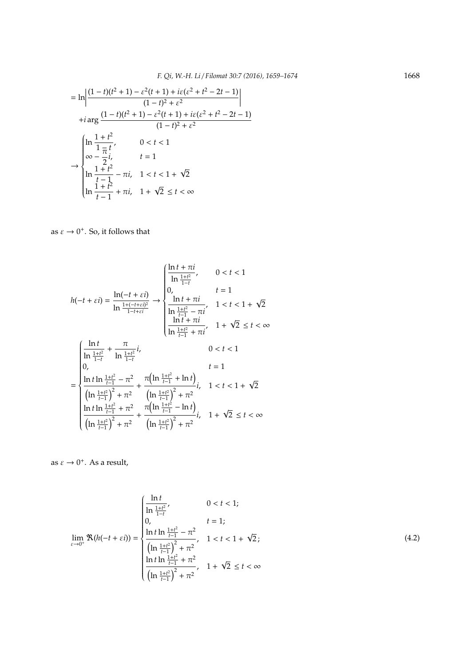$$
= \ln \left| \frac{(1-t)(t^2+1) - \varepsilon^2(t+1) + i\varepsilon(\varepsilon^2 + t^2 - 2t - 1)}{(1-t)^2 + \varepsilon^2} \right|
$$
  
+*i* arg  $\frac{(1-t)(t^2+1) - \varepsilon^2(t+1) + i\varepsilon(\varepsilon^2 + t^2 - 2t - 1)}{(1-t)^2 + \varepsilon^2}$   

$$
\left| \ln \frac{1+t^2}{1-t}, \quad 0 < t < 1 \right|
$$
  

$$
\infty - \frac{7}{2}i, \quad t = 1
$$
  

$$
\ln \frac{1+t^2}{t-1} - \pi i, \quad 1 < t < 1 + \sqrt{2}
$$
  

$$
\ln \frac{1+t^2}{t-1} + \pi i, \quad 1 + \sqrt{2} \le t < \infty
$$

as  $\varepsilon \to 0^+$ . So, it follows that

$$
h(-t + \varepsilon i) = \frac{\ln(-t + \varepsilon i)}{\ln \frac{1 + (-t + \varepsilon i)^2}{1 - t + \varepsilon i}}} \rightarrow \begin{cases} \frac{\ln t + \pi i}{\ln \frac{1 + t^2}{1 - t}}, & 0 < t < 1 \\ 0, & t = 1 \\ \frac{\ln t + \pi i}{\ln \frac{1 + t^2}{1 - 1}} & 1 < t < 1 + \sqrt{2} \\ \frac{\ln t + \pi i}{\ln \frac{1 + t^2}{1 - 1}} & 1 + \sqrt{2} \le t < \infty \end{cases}
$$

$$
= \begin{cases} \frac{\ln t}{\ln \frac{1 + t^2}{1 - 1}} + \frac{\pi}{\ln \frac{1 + t^2}{1 - 1}} i, & 0 < t < 1 \\ 0, & t = 1 \\ \frac{\ln t \ln \frac{1 + t^2}{1 - 1} - \pi^2}{\ln \frac{1 + t^2}{1 - 1}} + \frac{\pi (\ln \frac{1 + t^2}{1 - 1} + \ln t)}{\ln \frac{1 + t^2}{1 - 1}} i, & 1 < t < 1 + \sqrt{2} \\ \frac{\ln t \ln \frac{1 + t^2}{1 - 1}}{\ln \frac{1 + t^2}{1 - 1}} + \frac{\pi^2}{\ln \frac{1 + t^2}{1 - 1}} + \frac{\pi (\ln \frac{1 + t^2}{1 - 1} - \ln t)}{\ln \frac{1 + t^2}{1 - 1}} i, & 1 + \sqrt{2} \le t < \infty \end{cases}
$$

as  $\varepsilon \to 0^+$ . As a result,

$$
\lim_{\varepsilon \to 0^{+}} \Re(h(-t + \varepsilon i)) = \begin{cases} \frac{\ln t}{\ln \frac{1+t^{2}}{1-t}}, & 0 < t < 1; \\ 0, & t = 1; \\ \frac{\ln t \ln \frac{1+t^{2}}{t-1} - \pi^{2}}{\left(\ln \frac{1+t^{2}}{t-1}\right)^{2} + \pi^{2}}, & 1 < t < 1 + \sqrt{2}; \\ \frac{\ln t \ln \frac{1+t^{2}}{t-1}}{\left(\ln \frac{1+t^{2}}{t-1}\right)^{2} + \pi^{2}}, & 1 + \sqrt{2} \le t < \infty \end{cases}
$$
(4.2)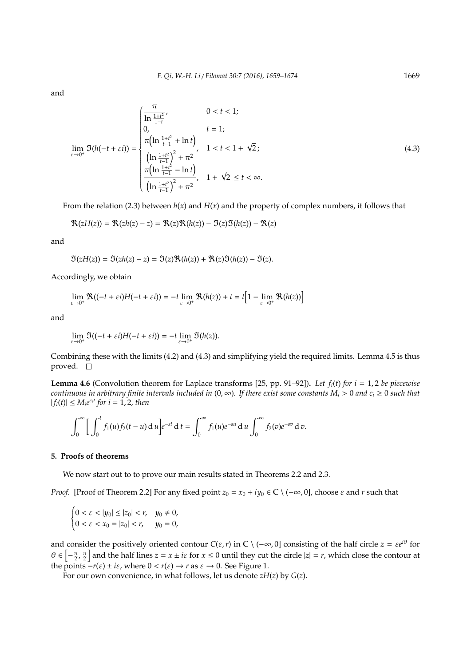and

$$
\lim_{\varepsilon \to 0^{+}} \mathfrak{I}(h(-t + \varepsilon i)) = \begin{cases} \frac{\pi}{\ln \frac{1+t^{2}}{1-t}}, & 0 < t < 1; \\ 0, & t = 1; \\ \frac{\pi(\ln \frac{1+t^{2}}{t-1} + \ln t)}{\left(\ln \frac{1+t^{2}}{t-1}\right)^{2} + \pi^{2}}, & 1 < t < 1 + \sqrt{2}; \\ \frac{\pi(\ln \frac{1+t^{2}}{t-1} - \ln t)}{\left(\ln \frac{1+t^{2}}{t-1}\right)^{2} + \pi^{2}}, & 1 + \sqrt{2} \le t < \infty. \end{cases}
$$
(4.3)

From the relation (2.3) between  $h(x)$  and  $H(x)$  and the property of complex numbers, it follows that

$$
\mathfrak{R}(zH(z))=\mathfrak{R}(zh(z)-z)=\mathfrak{R}(z)\mathfrak{R}(h(z))-\mathfrak{I}(z)\mathfrak{I}(h(z))-\mathfrak{R}(z)
$$

and

$$
\mathfrak{I}(zH(z)) = \mathfrak{I}(zh(z) - z) = \mathfrak{I}(z)\mathfrak{R}(h(z)) + \mathfrak{R}(z)\mathfrak{I}(h(z)) - \mathfrak{I}(z).
$$

Accordingly, we obtain

$$
\lim_{\varepsilon \to 0^+} \Re((-t + \varepsilon i)H(-t + \varepsilon i)) = -t \lim_{\varepsilon \to 0^+} \Re(h(z)) + t = t \Big[1 - \lim_{\varepsilon \to 0^+} \Re(h(z))\Big]
$$

and

$$
\lim_{\varepsilon\to 0^+}\mathfrak{I}((-t+\varepsilon i)H(-t+\varepsilon i))=-t\lim_{\varepsilon\to 0^+}\mathfrak{I}(h(z)).
$$

Combining these with the limits (4.2) and (4.3) and simplifying yield the required limits. Lemma 4.5 is thus proved.  $\square$ 

**Lemma 4.6** (Convolution theorem for Laplace transforms [25, pp. 91–92]). *Let*  $f_i(t)$  *for*  $i = 1, 2$  *be piecewise continuous in arbitrary finite intervals included in* (0, ∞)*. If there exist some constants M<sup>i</sup>* > 0 *and c<sup>i</sup>* ≥ 0 *such that*  $|f_i(t)| \leq M_i e^{c_i t}$  for  $i = 1, 2$ , then

$$
\int_0^{\infty} \left[ \int_0^t f_1(u) f_2(t-u) \, \mathrm{d} \, u \right] e^{-st} \, \mathrm{d} \, t = \int_0^{\infty} f_1(u) e^{-su} \, \mathrm{d} \, u \int_0^{\infty} f_2(v) e^{-sv} \, \mathrm{d} \, v.
$$

#### **5. Proofs of theorems**

 $\overline{a}$ 

We now start out to to prove our main results stated in Theorems 2.2 and 2.3.

*Proof.* [Proof of Theorem 2.2] For any fixed point  $z_0 = x_0 + iy_0 \in \mathbb{C} \setminus (-\infty, 0]$ , choose  $\varepsilon$  and  $r$  such that

$$
\begin{cases} 0 < \varepsilon < |y_0| \le |z_0| < r, \quad y_0 \ne 0, \\ 0 < \varepsilon < x_0 = |z_0| < r, \quad y_0 = 0, \end{cases}
$$

and consider the positively oriented contour  $C(\varepsilon, r)$  in  $\mathbb{C} \setminus (-\infty, 0]$  consisting of the half circle  $z = \varepsilon e^{i\theta}$  for  $\theta \in \left[-\frac{\pi}{2}, \frac{\pi}{2}\right]$  and the half lines  $z = x \pm i\varepsilon$  for  $x \le 0$  until they cut the circle  $|z| = r$ , which close the contour at the points  $-r(\varepsilon) \pm i\varepsilon$ , where  $0 < r(\varepsilon) \rightarrow r$  as  $\varepsilon \rightarrow 0$ . See Figure 1.

For our own convenience, in what follows, let us denote *zH*(*z*) by *G*(*z*).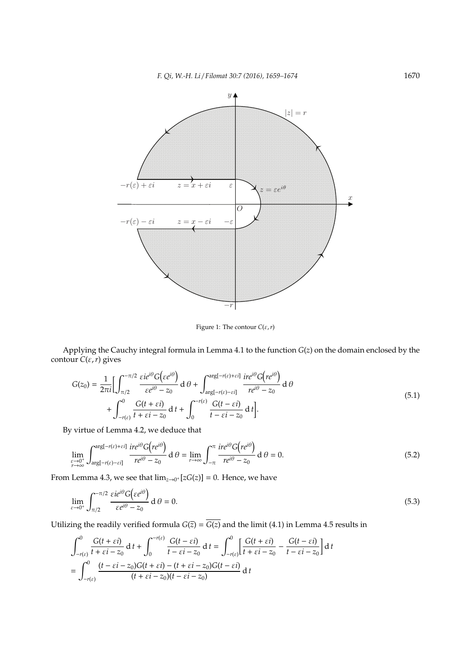*F. Qi, W.-H. Li* / *Filomat 30:7 (2016), 1659–1674* 1670



Figure 1: The contour *C*(ε,*r*)

Applying the Cauchy integral formula in Lemma 4.1 to the function *G*(*z*) on the domain enclosed by the contour  $C(\varepsilon, r)$  gives

$$
G(z_0) = \frac{1}{2\pi i} \Biggl[ \int_{\pi/2}^{-\pi/2} \frac{\varepsilon i e^{i\theta} G(\varepsilon e^{i\theta})}{\varepsilon e^{i\theta} - z_0} d\theta + \int_{\arg[-r(\varepsilon) - \varepsilon i]}^{\arg[-r(\varepsilon) + \varepsilon i]} \frac{i r e^{i\theta} G(r e^{i\theta})}{r e^{i\theta} - z_0} d\theta \Biggr] + \int_{-r(\varepsilon)}^{0} \frac{G(t + \varepsilon i)}{t + \varepsilon i - z_0} d\theta + \int_{0}^{-r(\varepsilon)} \frac{G(t - \varepsilon i)}{t - \varepsilon i - z_0} d\theta \Biggr].
$$
\n(5.1)

By virtue of Lemma 4.2, we deduce that

$$
\lim_{\substack{\varepsilon \to 0^+ \\ r \to \infty}} \int_{\arg[-r(\varepsilon)-\varepsilon i]}^{\arg[-r(\varepsilon)+\varepsilon i]} \frac{ire^{i\theta} G(re^{i\theta})}{re^{i\theta} - z_0} d\theta = \lim_{r \to \infty} \int_{-\pi}^{\pi} \frac{ire^{i\theta} G(re^{i\theta})}{re^{i\theta} - z_0} d\theta = 0.
$$
\n(5.2)

From Lemma 4.3, we see that  $\lim_{z\to 0^+}[zG(z)] = 0$ . Hence, we have

$$
\lim_{\varepsilon \to 0^+} \int_{\pi/2}^{-\pi/2} \frac{\varepsilon i e^{i\theta} G(\varepsilon e^{i\theta})}{\varepsilon e^{i\theta} - z_0} d\theta = 0.
$$
\n(5.3)

Utilizing the readily verified formula  $G(\overline{z}) = \overline{G(z)}$  and the limit (4.1) in Lemma 4.5 results in

$$
\int_{-r(\varepsilon)}^{0} \frac{G(t+\varepsilon i)}{t+\varepsilon i-z_0} dt + \int_{0}^{-r(\varepsilon)} \frac{G(t-\varepsilon i)}{t-\varepsilon i-z_0} dt = \int_{-r(\varepsilon)}^{0} \left[ \frac{G(t+\varepsilon i)}{t+\varepsilon i-z_0} - \frac{G(t-\varepsilon i)}{t-\varepsilon i-z_0} \right] dt
$$

$$
= \int_{-r(\varepsilon)}^{0} \frac{(t-\varepsilon i-z_0)G(t+\varepsilon i)-(t+\varepsilon i-z_0)G(t-\varepsilon i)}{(t+\varepsilon i-z_0)(t-\varepsilon i-z_0)} dt
$$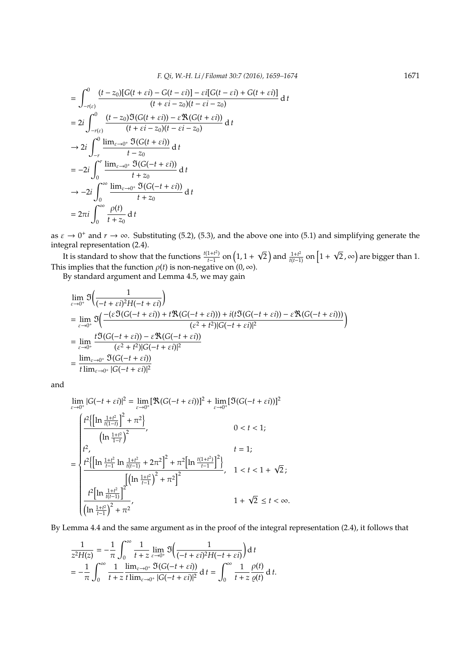$$
\begin{split}\n&= \int_{-r(\varepsilon)}^{0} \frac{(t-z_0)[G(t+\varepsilon i)-G(t-\varepsilon i)]-\varepsilon i[G(t-\varepsilon i)+G(t+\varepsilon i)]}{(t+\varepsilon i-z_0)(t-\varepsilon i-z_0)} dt \\
&= 2i \int_{-r(\varepsilon)}^{0} \frac{(t-z_0)\Im(G(t+\varepsilon i))-\varepsilon \Re(G(t+\varepsilon i))}{(t+\varepsilon i-z_0)(t-\varepsilon i-z_0)} dt \\
&\to 2i \int_{-r}^{0} \frac{\lim_{\varepsilon \to 0^+} \Im(G(t+\varepsilon i))}{t-z_0} dt \\
&= -2i \int_{0}^{r} \frac{\lim_{\varepsilon \to 0^+} \Im(G(-t+\varepsilon i))}{t+z_0} dt \\
&\to -2i \int_{0}^{\infty} \frac{\lim_{\varepsilon \to 0^+} \Im(G(-t+\varepsilon i))}{t+z_0} dt \\
&= 2\pi i \int_{0}^{\infty} \frac{\rho(t)}{t+z_0} dt\n\end{split}
$$

as  $\varepsilon \to 0^+$  and  $r \to \infty$ . Substituting (5.2), (5.3), and the above one into (5.1) and simplifying generate the integral representation (2.4).

It is standard to show that the functions  $\frac{t(1+t^2)}{t-1}$  on  $\left(1, 1+\right)$  $\sqrt{2}$ ) and  $\frac{1+t^2}{t(t-1)}$  on  $\left[1+\right]$  $\left( \overline{2}\, ,\infty \right)$  are bigger than 1. This implies that the function  $\rho(t)$  is non-negative on  $(0, \infty)$ .

By standard argument and Lemma 4.5, we may gain

$$
\lim_{\varepsilon \to 0^{+}} \mathfrak{I}\Big(\frac{1}{(-t + \varepsilon i)^{2} H(-t + \varepsilon i)}\Big)
$$
\n
$$
= \lim_{\varepsilon \to 0^{+}} \mathfrak{I}\Big(\frac{-(\varepsilon \mathfrak{I}(G(-t + \varepsilon i)) + t \mathfrak{R}(G(-t + \varepsilon i))) + i(t \mathfrak{I}(G(-t + \varepsilon i)) - \varepsilon \mathfrak{R}(G(-t + \varepsilon i)))}{(\varepsilon^{2} + t^{2})|G(-t + \varepsilon i)|^{2}}
$$
\n
$$
= \lim_{\varepsilon \to 0^{+}} \frac{t \mathfrak{I}(G(-t + \varepsilon i)) - \varepsilon \mathfrak{R}(G(-t + \varepsilon i))}{(\varepsilon^{2} + t^{2})|G(-t + \varepsilon i)|^{2}}
$$
\n
$$
= \frac{\lim_{\varepsilon \to 0^{+}} \mathfrak{I}(G(-t + \varepsilon i))}{t \lim_{\varepsilon \to 0^{+}} |G(-t + \varepsilon i)|^{2}}
$$

and

$$
\lim_{\varepsilon \to 0^{+}} |G(-t + \varepsilon i)|^{2} = \lim_{\varepsilon \to 0^{+}} [\Re(G(-t + \varepsilon i))]^{2} + \lim_{\varepsilon \to 0^{+}} [\Im(G(-t + \varepsilon i))]^{2}
$$
\n
$$
\left(\ln \frac{1+t^{2}}{t(1-t)}\right)^{2} + \pi^{2}
$$
\n
$$
\left(\ln \frac{1+t^{2}}{1-t}\right)^{2}
$$
\n
$$
\left(\ln \frac{1+t^{2}}{1-t}\right)^{2}
$$
\n
$$
t = 1;
$$
\n
$$
t^{2} \left(\left[\ln \frac{1+t^{2}}{t-1} \ln \frac{1+t^{2}}{t(t-1)} + 2\pi^{2}\right]^{2} + \pi^{2}\left[\ln \frac{t(1+t^{2})}{t-1}\right]^{2}\right)
$$
\n
$$
t = 1;
$$
\n
$$
\left(\ln \frac{1+t^{2}}{t-1}\right)^{2} + \pi^{2}
$$
\n
$$
\left(\ln \frac{1+t^{2}}{t-1}\right)^{2} + \pi^{2}
$$
\n
$$
1 + \sqrt{2} \le t < \infty.
$$

By Lemma 4.4 and the same argument as in the proof of the integral representation (2.4), it follows that

$$
\frac{1}{z^2H(z)} = -\frac{1}{\pi} \int_0^\infty \frac{1}{t+z} \lim_{\varepsilon \to 0^+} \mathfrak{I}\left(\frac{1}{(-t+\varepsilon i)^2H(-t+\varepsilon i)}\right) dt
$$
  
= 
$$
-\frac{1}{\pi} \int_0^\infty \frac{1}{t+z} \frac{\lim_{\varepsilon \to 0^+} \mathfrak{I}(G(-t+\varepsilon i))}{|G(-t+\varepsilon i)|^2} dt = \int_0^\infty \frac{1}{t+z} \frac{\rho(t)}{\varrho(t)} dt.
$$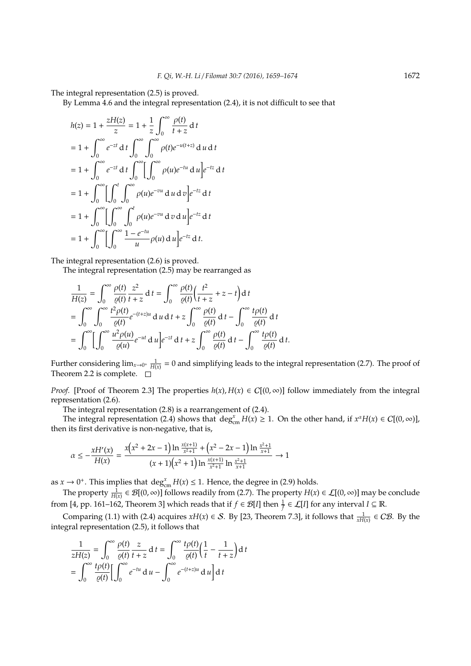The integral representation (2.5) is proved.

By Lemma 4.6 and the integral representation (2.4), it is not difficult to see that

$$
h(z) = 1 + \frac{zH(z)}{z} = 1 + \frac{1}{z} \int_0^{\infty} \frac{\rho(t)}{t + z} dt
$$
  
\n= 1 +  $\int_0^{\infty} e^{-zt} dt \int_0^{\infty} \int_0^{\infty} \rho(t) e^{-u(t+z)} du dt$   
\n= 1 +  $\int_0^{\infty} e^{-zt} dt \int_0^{\infty} [\int_0^{\infty} \rho(u) e^{-tu} du] e^{-tz} dt$   
\n= 1 +  $\int_0^{\infty} [\int_0^t \int_0^{\infty} \rho(u) e^{-vu} du] e^{-tz} dt$   
\n= 1 +  $\int_0^{\infty} [\int_0^{\infty} \int_0^t \rho(u) e^{-vu} dv du] e^{-tz} dt$   
\n= 1 +  $\int_0^{\infty} [\int_0^{\infty} \frac{1 - e^{-tu}}{u} \rho(u) du] e^{-tz} dt$ .

The integral representation (2.6) is proved.

The integral representation (2.5) may be rearranged as

$$
\frac{1}{H(z)} = \int_0^\infty \frac{\rho(t)}{\varrho(t)} \frac{z^2}{t+z} dt = \int_0^\infty \frac{\rho(t)}{\varrho(t)} \left(\frac{t^2}{t+z} + z - t\right) dt
$$
  
\n
$$
= \int_0^\infty \int_0^\infty \frac{t^2 \rho(t)}{\varrho(t)} e^{-(t+z)u} du dt + z \int_0^\infty \frac{\rho(t)}{\varrho(t)} dt - \int_0^\infty \frac{t \rho(t)}{\varrho(t)} dt
$$
  
\n
$$
= \int_0^\infty \left[ \int_0^\infty \frac{u^2 \rho(u)}{\varrho(u)} e^{-ut} du \right] e^{-zt} dt + z \int_0^\infty \frac{\rho(t)}{\varrho(t)} dt - \int_0^\infty \frac{t \rho(t)}{\varrho(t)} dt.
$$

Further considering  $\lim_{x\to 0^+} \frac{1}{H(x)} = 0$  and simplifying leads to the integral representation (2.7). The proof of Theorem 2.2 is complete.  $\square$ 

*Proof.* [Proof of Theorem 2.3] The properties  $h(x)$ ,  $H(x) \in C[(0, \infty)]$  follow immediately from the integral representation (2.6).

The integral representation (2.8) is a rearrangement of (2.4).

The integral representation (2.4) shows that  $\deg_{cm}^{x} H(x) \ge 1$ . On the other hand, if  $x^{\alpha} H(x) \in C[(0, \infty)]$ , then its first derivative is non-negative, that is,

$$
\alpha \le -\frac{xH'(x)}{H(x)} = \frac{x(x^2 + 2x - 1) \ln \frac{x(x+1)}{x^2 + 1} + (x^2 - 2x - 1) \ln \frac{x^2 + 1}{x + 1}}{(x + 1)(x^2 + 1) \ln \frac{x(x+1)}{x^2 + 1} \ln \frac{x^2 + 1}{x + 1}} \to 1
$$

as  $x \to 0^+$ . This implies that  $\deg_{cm}^x H(x) \le 1$ . Hence, the degree in (2.9) holds.

The property  $\frac{1}{H(x)} \in \mathcal{B}[(0,\infty)]$  follows readily from (2.7). The property  $H(x) \in \mathcal{L}[(0,\infty)]$  may be conclude from [4, pp. 161–162, Theorem 3] which reads that if  $f \in \mathcal{B}[I]$  then  $\frac{1}{f} \in \mathcal{L}[I]$  for any interval  $I \subseteq \mathbb{R}$ .

Comparing (1.1) with (2.4) acquires  $xH(x) \in S$ . By [23, Theorem 7.3], it follows that  $\frac{1}{xH(x)} \in C\mathcal{B}$ . By the integral representation (2.5), it follows that

$$
\frac{1}{zH(z)} = \int_0^\infty \frac{\rho(t)}{\varrho(t)} \frac{z}{t+z} dt = \int_0^\infty \frac{t\rho(t)}{\varrho(t)} \left(\frac{1}{t} - \frac{1}{t+z}\right) dt
$$

$$
= \int_0^\infty \frac{t\rho(t)}{\varrho(t)} \left[\int_0^\infty e^{-tu} du - \int_0^\infty e^{-(t+z)u} du\right] dt
$$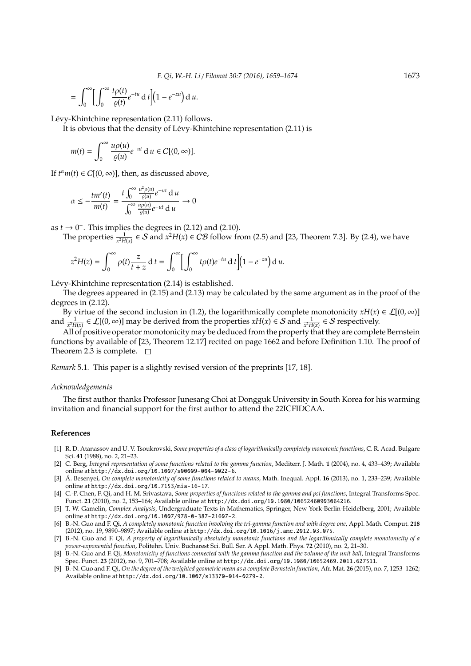$$
= \int_0^\infty \Biggl[ \int_0^\infty \frac{t \rho(t)}{\varrho(t)} e^{-tu} dt \Biggr] \Biggl( 1 - e^{-zu} \Biggr) du.
$$

Lévy-Khintchine representation (2.11) follows.

It is obvious that the density of Lévy-Khintchine representation (2.11) is

$$
m(t) = \int_0^\infty \frac{u\rho(u)}{\varrho(u)} e^{-ut} \, \mathrm{d} \, u \in C[(0, \infty)].
$$

If  $t^{\alpha}m(t) \in C[(0,\infty)]$ , then, as discussed above,

$$
\alpha \le -\frac{tm'(t)}{m(t)} = \frac{t \int_0^\infty \frac{u^2 \rho(u)}{\varrho(u)} e^{-ut} du}{\int_0^\infty \frac{u \rho(u)}{\varrho(u)} e^{-ut} du} \to 0
$$

as  $t \rightarrow 0^+$ . This implies the degrees in (2.12) and (2.10).

The properties  $\frac{1}{x^2H(x)} \in S$  and  $x^2H(x) \in CB$  follow from (2.5) and [23, Theorem 7.3]. By (2.4), we have

$$
z^{2}H(z)=\int_{0}^{\infty}\rho(t)\frac{z}{t+z}\,dt=\int_{0}^{\infty}\Bigl[\int_{0}^{\infty}t\rho(t)e^{-tu}\,dt\Bigr]\Bigl(1-e^{-zu}\Bigr)\,dt.
$$

Lévy-Khintchine representation  $(2.14)$  is established.

The degrees appeared in (2.15) and (2.13) may be calculated by the same argument as in the proof of the degrees in (2.12).

By virtue of the second inclusion in (1.2), the logarithmically complete monotonicity  $xH(x) \in \mathcal{L}[(0,\infty)]$ and  $\frac{1}{x^2H(x)} \in \mathcal{L}[(0, \infty)]$  may be derived from the properties  $xH(x) \in S$  and  $\frac{1}{x^2H(x)} \in S$  respectively.

All of positive operator monotonicity may be deduced from the property that they are complete Bernstein functions by available of [23, Theorem 12.17] recited on page 1662 and before Definition 1.10. The proof of Theorem 2.3 is complete.  $\square$ 

*Remark* 5.1*.* This paper is a slightly revised version of the preprints [17, 18].

#### *Acknowledgements*

The first author thanks Professor Junesang Choi at Dongguk University in South Korea for his warming invitation and financial support for the first author to attend the 22ICFIDCAA.

# **References**

- [1] R. D. Atanassov and U. V. Tsoukrovski, *Some properties of a class of logarithmically completely monotonic functions*, C. R. Acad. Bulgare Sci. **41** (1988), no. 2, 21–23.
- [2] C. Berg, *Integral representation of some functions related to the gamma function*, Mediterr. J. Math. **1** (2004), no. 4, 433–439; Available online at http://dx.doi.org/10.1007/s00009-004-0022-6.
- [3] Á. Besenyei, On complete monotonicity of some functions related to means, Math. Inequal. Appl. 16 (2013), no. 1, 233-239; Available online at http://dx.doi.org/10.7153/mia-16-17.
- [4] C.-P. Chen, F. Qi, and H. M. Srivastava, *Some properties of functions related to the gamma and psi functions*, Integral Transforms Spec. Funct. **21** (2010), no. 2, 153–164; Available online at http://dx.doi.org/10.1080/10652460903064216.
- [5] T. W. Gamelin, *Complex Analysis*, Undergraduate Texts in Mathematics, Springer, New York-Berlin-Heidelberg, 2001; Available online at http://dx.doi.org/10.1007/978-0-387-21607-2.
- [6] B.-N. Guo and F. Qi, *A completely monotonic function involving the tri-gamma function and with degree one*, Appl. Math. Comput. **218** (2012), no. 19, 9890–9897; Available online at http://dx.doi.org/10.1016/j.amc.2012.03.075.
- [7] B.-N. Guo and F. Qi, *A property of logarithmically absolutely monotonic functions and the logarithmically complete monotonicity of a power-exponential function*, Politehn. Univ. Bucharest Sci. Bull. Ser. A Appl. Math. Phys. **72** (2010), no. 2, 21–30.
- [8] B.-N. Guo and F. Qi, *Monotonicity of functions connected with the gamma function and the volume of the unit ball*, Integral Transforms Spec. Funct. **23** (2012), no. 9, 701–708; Available online at http://dx.doi.org/10.1080/10652469.2011.627511.
- [9] B.-N. Guo and F. Qi, *On the degree of the weighted geometric mean as a complete Bernstein function*, Afr. Mat. **26** (2015), no. 7, 1253–1262; Available online at http://dx.doi.org/10.1007/s13370-014-0279-2.